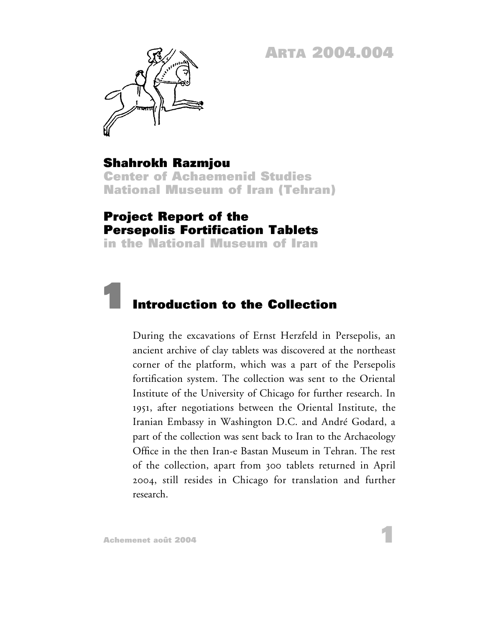**ARTA 2004.004**



## **Shahrokh Razmjou**

**Center of Achaemenid Studies National Museum of Iran (Tehran)**

## **Project Report of the Persepolis Fortification Tablets**

**in the National Museum of Iran**

## **1 Introduction to the Collection**

During the excavations of Ernst Herzfeld in Persepolis, an ancient archive of clay tablets was discovered at the northeast corner of the platform, which was a part of the Persepolis fortification system. The collection was sent to the Oriental Institute of the University of Chicago for further research. In 1951, after negotiations between the Oriental Institute, the Iranian Embassy in Washington D.C. and André Godard, a part of the collection was sent back to Iran to the Archaeology Office in the then Iran-e Bastan Museum in Tehran. The rest of the collection, apart from 300 tablets returned in April 2004, still resides in Chicago for translation and further research.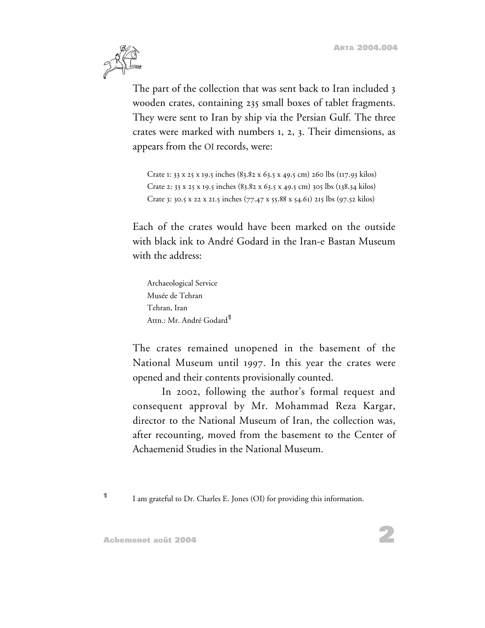

The part of the collection that was sent back to Iran included 3 wooden crates, containing 235 small boxes of tablet fragments. They were sent to Iran by ship via the Persian Gulf. The three crates were marked with numbers 1, 2, 3. Their dimensions, as appears from the OI records, were:

```
Crate 1: 33 x 25 x 19.5 inches (83.82 x 63.5 x 49.5 cm) 260 lbs (117.93 kilos)
Crate 2: 33 x 25 x 19.5 inches (83.82 x 63.5 x 49.5 cm) 305 lbs (138.34 kilos)
Crate 3: 30.5 x 22 x 21.5 inches (77.47 x 55.88 x 54.61) 215 lbs (97.52 kilos)
```
Each of the crates would have been marked on the outside with black ink to André Godard in the Iran-e Bastan Museum with the address:

Archaeological Service Musée de Tehran Tehran, Iran Attn.: Mr. André Godard**<sup>1</sup>**

The crates remained unopened in the basement of the National Museum until 1997. In this year the crates were opened and their contents provisionally counted.

In 2002, following the author's formal request and consequent approval by Mr. Mohammad Reza Kargar, director to the National Museum of Iran, the collection was, after recounting, moved from the basement to the Center of Achaemenid Studies in the National Museum.

**<sup>1</sup>** I am grateful to Dr. Charles E. Jones (OI) for providing this information.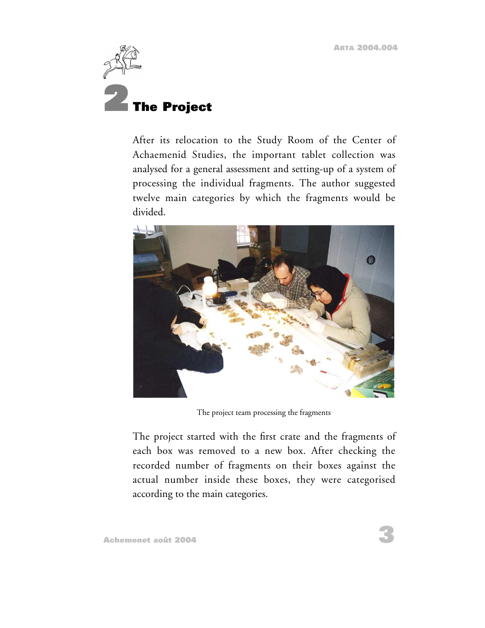

After its relocation to the Study Room of the Center of Achaemenid Studies, the important tablet collection was analysed for a general assessment and setting-up of a system of processing the individual fragments. The author suggested twelve main categories by which the fragments would be divided.



The project team processing the fragments

The project started with the first crate and the fragments of each box was removed to a new box. After checking the recorded number of fragments on their boxes against the actual number inside these boxes, they were categorised according to the main categories.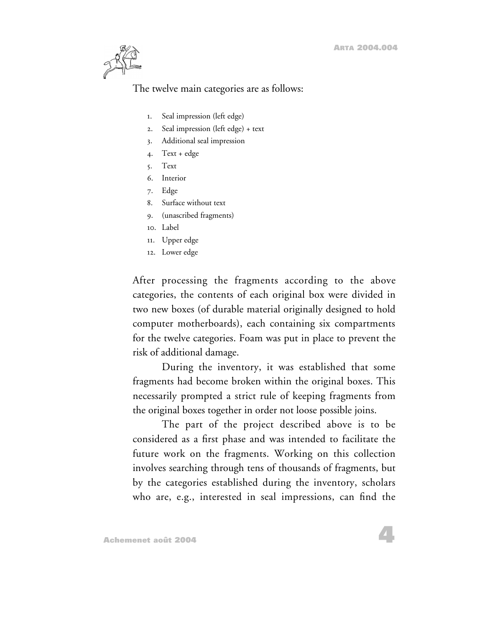

#### The twelve main categories are as follows:

- 1. Seal impression (left edge)
- 2. Seal impression (left edge) + text
- 3. Additional seal impression
- 4. Text + edge
- 5. Text
- 6. Interior
- 7. Edge
- 8. Surface without text
- 9. (unascribed fragments)
- 10. Label
- 11. Upper edge
- 12. Lower edge

After processing the fragments according to the above categories, the contents of each original box were divided in two new boxes (of durable material originally designed to hold computer motherboards), each containing six compartments for the twelve categories. Foam was put in place to prevent the risk of additional damage.

During the inventory, it was established that some fragments had become broken within the original boxes. This necessarily prompted a strict rule of keeping fragments from the original boxes together in order not loose possible joins.

The part of the project described above is to be considered as a first phase and was intended to facilitate the future work on the fragments. Working on this collection involves searching through tens of thousands of fragments, but by the categories established during the inventory, scholars who are, e.g., interested in seal impressions, can find the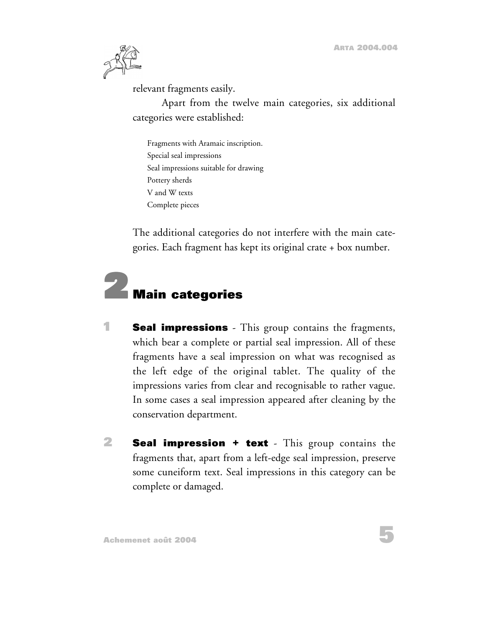

relevant fragments easily.

Apart from the twelve main categories, six additional categories were established:

Fragments with Aramaic inscription. Special seal impressions Seal impressions suitable for drawing Pottery sherds V and W texts Complete pieces

The additional categories do not interfere with the main categories. Each fragment has kept its original crate + box number.

# **2 Main categories**

- **1 Seal impressions** This group contains the fragments, which bear a complete or partial seal impression. All of these fragments have a seal impression on what was recognised as the left edge of the original tablet. The quality of the impressions varies from clear and recognisable to rather vague. In some cases a seal impression appeared after cleaning by the conservation department.
- **2 Seal impression + text** This group contains the fragments that, apart from a left-edge seal impression, preserve some cuneiform text. Seal impressions in this category can be complete or damaged.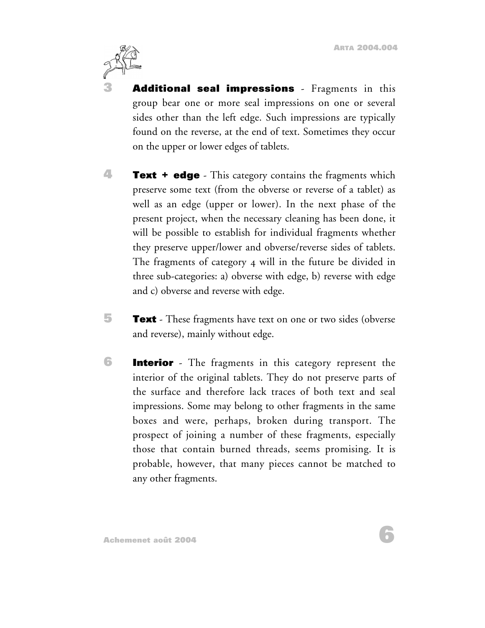

**3 Additional seal impressions** - Fragments in this group bear one or more seal impressions on one or several sides other than the left edge. Such impressions are typically found on the reverse, at the end of text. Sometimes they occur on the upper or lower edges of tablets.

- **4 Text + edge** This category contains the fragments which preserve some text (from the obverse or reverse of a tablet) as well as an edge (upper or lower). In the next phase of the present project, when the necessary cleaning has been done, it will be possible to establish for individual fragments whether they preserve upper/lower and obverse/reverse sides of tablets. The fragments of category 4 will in the future be divided in three sub-categories: a) obverse with edge, b) reverse with edge and c) obverse and reverse with edge.
- **F Text** These fragments have text on one or two sides (obverse and reverse), mainly without edge.
- **6 Interior** The fragments in this category represent the interior of the original tablets. They do not preserve parts of the surface and therefore lack traces of both text and seal impressions. Some may belong to other fragments in the same boxes and were, perhaps, broken during transport. The prospect of joining a number of these fragments, especially those that contain burned threads, seems promising. It is probable, however, that many pieces cannot be matched to any other fragments.

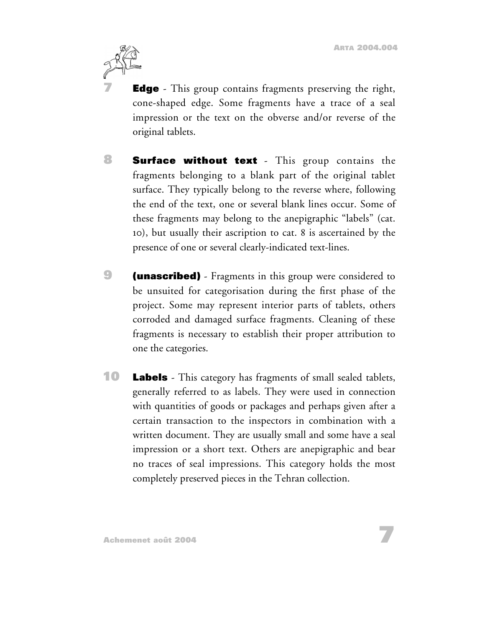

**Edge** - This group contains fragments preserving the right, cone-shaped edge. Some fragments have a trace of a seal impression or the text on the obverse and/or reverse of the original tablets.

- **8 Surface without text** This group contains the fragments belonging to a blank part of the original tablet surface. They typically belong to the reverse where, following the end of the text, one or several blank lines occur. Some of these fragments may belong to the anepigraphic "labels" (cat. 10), but usually their ascription to cat. 8 is ascertained by the presence of one or several clearly-indicated text-lines.
- **9 (unascribed)** Fragments in this group were considered to be unsuited for categorisation during the first phase of the project. Some may represent interior parts of tablets, others corroded and damaged surface fragments. Cleaning of these fragments is necessary to establish their proper attribution to one the categories.
- **10 Labels** This category has fragments of small sealed tablets, generally referred to as labels. They were used in connection with quantities of goods or packages and perhaps given after a certain transaction to the inspectors in combination with a written document. They are usually small and some have a seal impression or a short text. Others are anepigraphic and bear no traces of seal impressions. This category holds the most completely preserved pieces in the Tehran collection.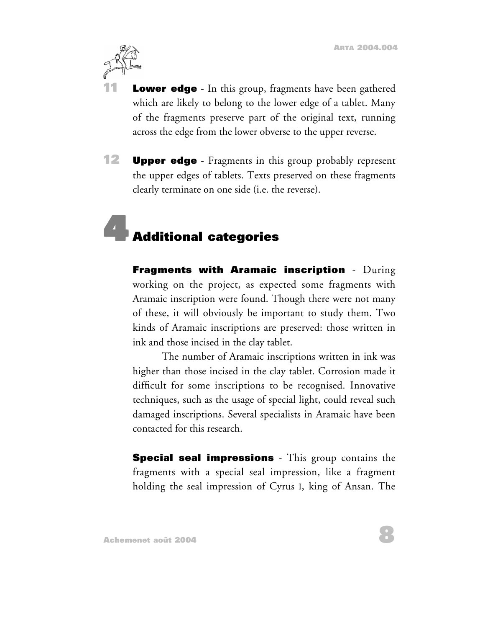

**Lower edge** - In this group, fragments have been gathered which are likely to belong to the lower edge of a tablet. Many of the fragments preserve part of the original text, running across the edge from the lower obverse to the upper reverse.

**12 Upper edge** - Fragments in this group probably represent the upper edges of tablets. Texts preserved on these fragments clearly terminate on one side (i.e. the reverse).

## **4 Additional categories**

**Fragments with Aramaic inscription** - During working on the project, as expected some fragments with Aramaic inscription were found. Though there were not many of these, it will obviously be important to study them. Two kinds of Aramaic inscriptions are preserved: those written in ink and those incised in the clay tablet.

The number of Aramaic inscriptions written in ink was higher than those incised in the clay tablet. Corrosion made it difficult for some inscriptions to be recognised. Innovative techniques, such as the usage of special light, could reveal such damaged inscriptions. Several specialists in Aramaic have been contacted for this research.

**Special seal impressions** - This group contains the fragments with a special seal impression, like a fragment holding the seal impression of Cyrus I, king of Ansan. The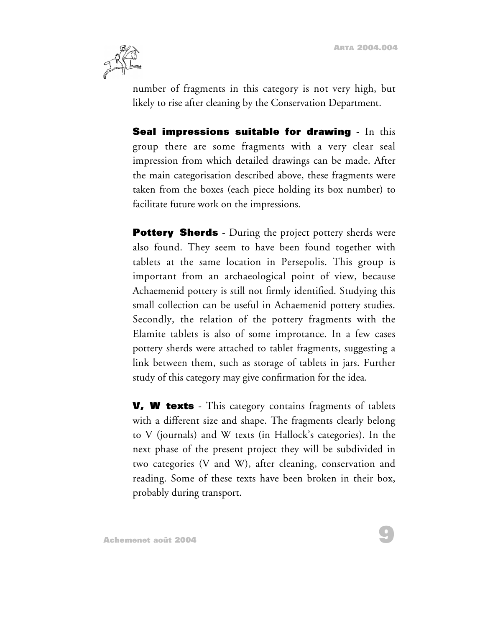

number of fragments in this category is not very high, but likely to rise after cleaning by the Conservation Department.

**Seal impressions suitable for drawing** - In this group there are some fragments with a very clear seal impression from which detailed drawings can be made. After the main categorisation described above, these fragments were taken from the boxes (each piece holding its box number) to facilitate future work on the impressions.

**Pottery Sherds** - During the project pottery sherds were also found. They seem to have been found together with tablets at the same location in Persepolis. This group is important from an archaeological point of view, because Achaemenid pottery is still not firmly identified. Studying this small collection can be useful in Achaemenid pottery studies. Secondly, the relation of the pottery fragments with the Elamite tablets is also of some improtance. In a few cases pottery sherds were attached to tablet fragments, suggesting a link between them, such as storage of tablets in jars. Further study of this category may give confirmation for the idea.

**V, W texts** - This category contains fragments of tablets with a different size and shape. The fragments clearly belong to V (journals) and W texts (in Hallock's categories). In the next phase of the present project they will be subdivided in two categories (V and W), after cleaning, conservation and reading. Some of these texts have been broken in their box, probably during transport.

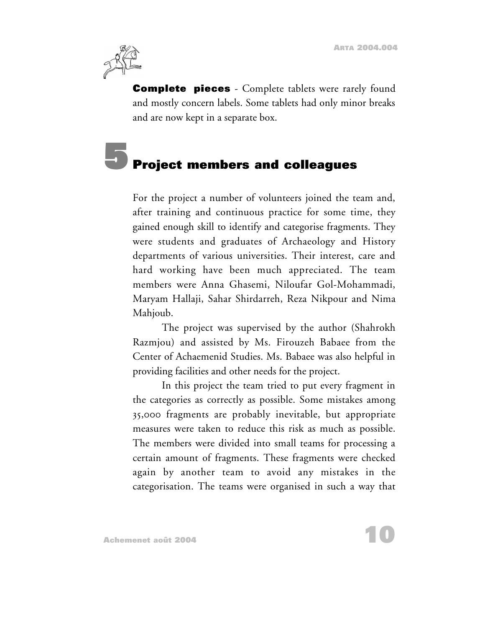

**Complete pieces** - Complete tablets were rarely found and mostly concern labels. Some tablets had only minor breaks and are now kept in a separate box.

## **5 Project members and colleagues**

For the project a number of volunteers joined the team and, after training and continuous practice for some time, they gained enough skill to identify and categorise fragments. They were students and graduates of Archaeology and History departments of various universities. Their interest, care and hard working have been much appreciated. The team members were Anna Ghasemi, Niloufar Gol-Mohammadi, Maryam Hallaji, Sahar Shirdarreh, Reza Nikpour and Nima Mahjoub.

The project was supervised by the author (Shahrokh Razmjou) and assisted by Ms. Firouzeh Babaee from the Center of Achaemenid Studies. Ms. Babaee was also helpful in providing facilities and other needs for the project.

In this project the team tried to put every fragment in the categories as correctly as possible. Some mistakes among 35,000 fragments are probably inevitable, but appropriate measures were taken to reduce this risk as much as possible. The members were divided into small teams for processing a certain amount of fragments. These fragments were checked again by another team to avoid any mistakes in the categorisation. The teams were organised in such a way that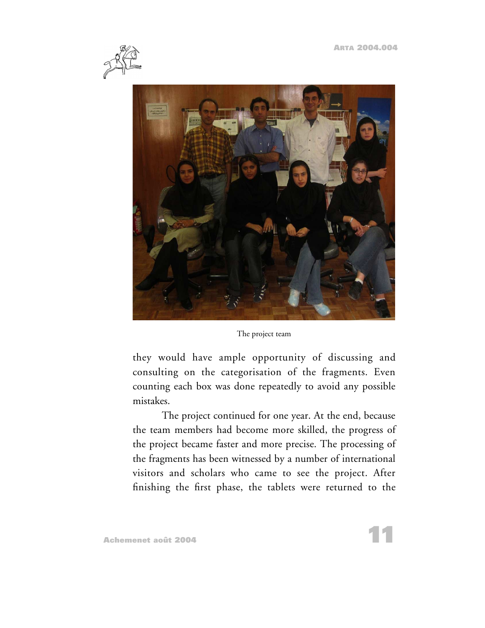



The project team

they would have ample opportunity of discussing and consulting on the categorisation of the fragments. Even counting each box was done repeatedly to avoid any possible mistakes.

The project continued for one year. At the end, because the team members had become more skilled, the progress of the project became faster and more precise. The processing of the fragments has been witnessed by a number of international visitors and scholars who came to see the project. After finishing the first phase, the tablets were returned to the